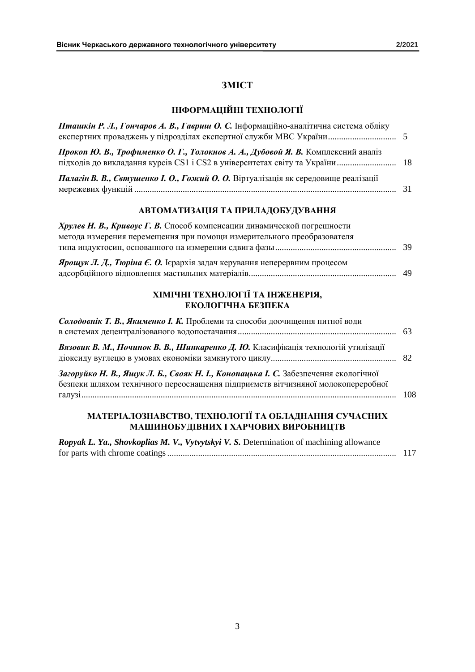## **ЗМІСТ**

## **ІНФОРМАЦІЙНІ ТЕХНОЛОГІЇ**

| Пташкін Р. Л., Гончаров А. В., Гавриш О. С. Інформаційно-аналітична система обліку |  |
|------------------------------------------------------------------------------------|--|
| Прокоп Ю. В., Трофименко О. Г., Толокнов А. А., Дубовой Я. В. Комплексний аналіз   |  |
| Палагін В. В., Євтушенко І. О., Гожий О. О. Віртуалізація як середовище реалізації |  |

### **АВТОМАТИЗАЦІЯ ТА ПРИЛАДОБУДУВАННЯ**

| Хрулев Н. В., Кривоус Г. В. Способ компенсации динамической погрешности         |  |
|---------------------------------------------------------------------------------|--|
| метода измерения перемещения при помощи измерительного преобразователя          |  |
|                                                                                 |  |
| <b>Ярощук Л. Д., Тюріна Є. О.</b> Ієрархія задач керування неперервним процесом |  |
|                                                                                 |  |

### **ХІМІЧНІ ТЕХНОЛОГІЇ ТА ІНЖЕНЕРІЯ, ЕКОЛОГІЧНА БЕЗПЕКА**

| Солодовнік Т. В., Якименко І. К. Проблеми та способи доочищення питної води                                                                                             |      |
|-------------------------------------------------------------------------------------------------------------------------------------------------------------------------|------|
| Вязовик В. М., Починок В. В., Шинкаренко Д. Ю. Класифікація технологій утилізації                                                                                       |      |
| Загоруйко Н. В., Ящук Л. Б., Свояк Н. І., Конопацька І. С. Забезпечення екологічної<br>безпеки шляхом технічного переоснащення підприємств вітчизняної молокопереробної | -108 |
| МАТЕРІАЛОЗНАВСТВО, ТЕХНОЛОГІЇ ТА ОБЛАДНАННЯ СУЧАСНИХ<br>МАШИНОБУДІВНИХ І ХАРЧОВИХ ВИРОБНИЦТВ                                                                            |      |
| <b>Ranyak I. Va. Shoukanlias M. V. Vytwtskyj V. S. Determination of machining allowance</b>                                                                             |      |

| Ropyak L. Ya., Shovkoplias M. V., Vytvytskyi V. S. Determination of machining allowance |  |
|-----------------------------------------------------------------------------------------|--|
|                                                                                         |  |